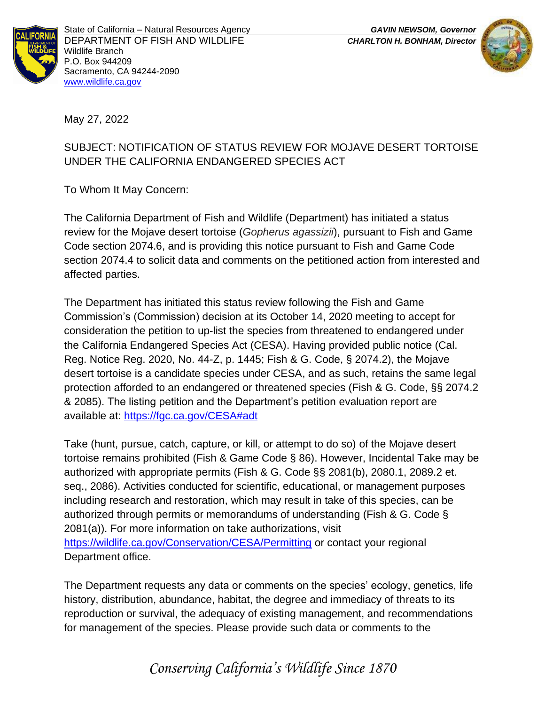



May 27, 2022

## SUBJECT: NOTIFICATION OF STATUS REVIEW FOR MOJAVE DESERT TORTOISE UNDER THE CALIFORNIA ENDANGERED SPECIES ACT

To Whom It May Concern:

The California Department of Fish and Wildlife (Department) has initiated a status review for the Mojave desert tortoise (*Gopherus agassizii*), pursuant to Fish and Game Code section 2074.6, and is providing this notice pursuant to Fish and Game Code section 2074.4 to solicit data and comments on the petitioned action from interested and affected parties.

The Department has initiated this status review following the Fish and Game Commission's (Commission) decision at its October 14, 2020 meeting to accept for consideration the petition to up-list the species from threatened to endangered under the California Endangered Species Act (CESA). Having provided public notice (Cal. Reg. Notice Reg. 2020, No. 44-Z, p. 1445; Fish & G. Code, § 2074.2), the Mojave desert tortoise is a candidate species under CESA, and as such, retains the same legal protection afforded to an endangered or threatened species (Fish & G. Code, §§ 2074.2 & 2085). The listing petition and the Department's petition evaluation report are available at: https://fgc.ca.gov/CESA#adt

Take (hunt, pursue, catch, capture, or kill, or attempt to do so) of the Mojave desert tortoise remains prohibited (Fish & Game Code § 86). However, Incidental Take may be authorized with appropriate permits (Fish & G. Code §§ 2081(b), 2080.1, 2089.2 et. seq., 2086). Activities conducted for scientific, educational, or management purposes including research and restoration, which may result in take of this species, can be authorized through permits or memorandums of understanding (Fish & G. Code § 2081(a)). For more information on take authorizations, visit https://wildlife.ca.gov/Conservation/CESA/Permitting or contact your regional Department office.

The Department requests any data or comments on the species' ecology, genetics, life history, distribution, abundance, habitat, the degree and immediacy of threats to its reproduction or survival, the adequacy of existing management, and recommendations for management of the species. Please provide such data or comments to the

*Conserving California's Wildlife Since 1870*